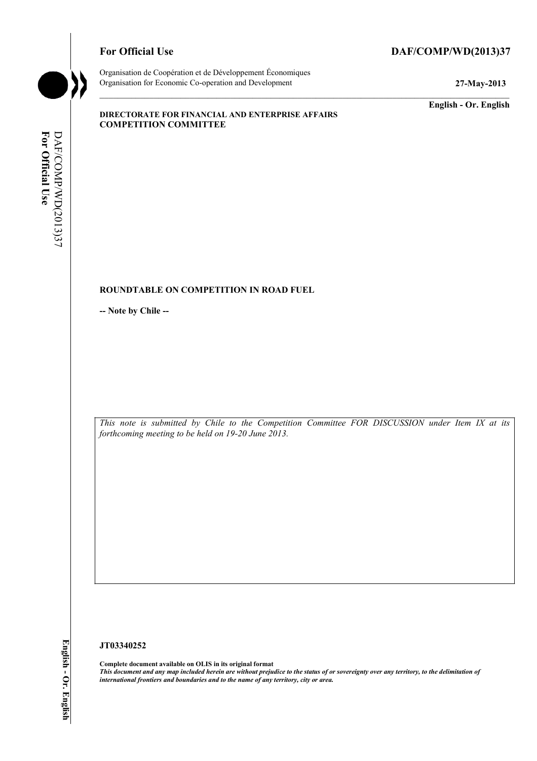## For Official Use DAF/COMP/WD(2013)37



Organisation de Coopération et de Développement Économiques Organisation for Economic Co-operation and Development **27-May-2013** 

**English - Or. English** 

#### **DIRECTORATE FOR FINANCIAL AND ENTERPRISE AFFAIRS COMPETITION COMMITTEE**

# **ROUNDTABLE ON COMPETITION IN ROAD FUEL**

**-- Note by Chile --** 

*This note is submitted by Chile to the Competition Committee FOR DISCUSSION under Item IX at its forthcoming meeting to be held on 19-20 June 2013.* 

#### **JT03340252**

**Complete document available on OLIS in its original format** *This document and any map included herein are without prejudice to the status of or sovereignty over any territory, to the delimitation of international frontiers and boundaries and to the name of any territory, city or area.*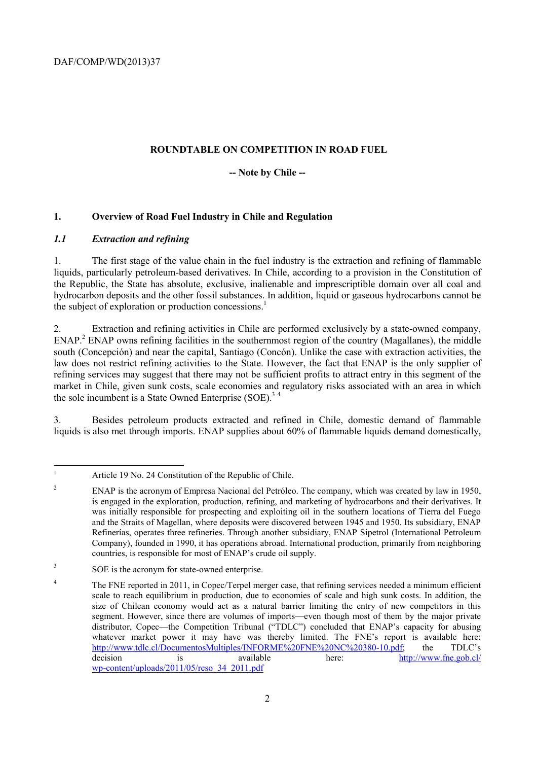# **ROUNDTABLE ON COMPETITION IN ROAD FUEL**

## **-- Note by Chile --**

# **1. Overview of Road Fuel Industry in Chile and Regulation**

# *1.1 Extraction and refining*

 $\frac{1}{1}$ 

1. The first stage of the value chain in the fuel industry is the extraction and refining of flammable liquids, particularly petroleum-based derivatives. In Chile, according to a provision in the Constitution of the Republic, the State has absolute, exclusive, inalienable and imprescriptible domain over all coal and hydrocarbon deposits and the other fossil substances. In addition, liquid or gaseous hydrocarbons cannot be the subject of exploration or production concessions.<sup>1</sup>

2. Extraction and refining activities in Chile are performed exclusively by a state-owned company, ENAP.<sup>2</sup> ENAP owns refining facilities in the southernmost region of the country (Magallanes), the middle south (Concepción) and near the capital, Santiago (Concón). Unlike the case with extraction activities, the law does not restrict refining activities to the State. However, the fact that ENAP is the only supplier of refining services may suggest that there may not be sufficient profits to attract entry in this segment of the market in Chile, given sunk costs, scale economies and regulatory risks associated with an area in which the sole incumbent is a State Owned Enterprise  $(SOE)<sup>3.4</sup>$ 

3. Besides petroleum products extracted and refined in Chile, domestic demand of flammable liquids is also met through imports. ENAP supplies about 60% of flammable liquids demand domestically,

Article 19 No. 24 Constitution of the Republic of Chile.

<sup>2</sup> ENAP is the acronym of Empresa Nacional del Petróleo. The company, which was created by law in 1950, is engaged in the exploration, production, refining, and marketing of hydrocarbons and their derivatives. It was initially responsible for prospecting and exploiting oil in the southern locations of Tierra del Fuego and the Straits of Magellan, where deposits were discovered between 1945 and 1950. Its subsidiary, ENAP Refinerías, operates three refineries. Through another subsidiary, ENAP Sipetrol (International Petroleum Company), founded in 1990, it has operations abroad. International production, primarily from neighboring countries, is responsible for most of ENAP's crude oil supply.

<sup>&</sup>lt;sup>3</sup> SOE is the acronym for state-owned enterprise.

<sup>&</sup>lt;sup>4</sup> The FNE reported in 2011, in Copec/Terpel merger case, that refining services needed a minimum efficient scale to reach equilibrium in production, due to economies of scale and high sunk costs. In addition, the size of Chilean economy would act as a natural barrier limiting the entry of new competitors in this segment. However, since there are volumes of imports—even though most of them by the major private distributor, Copec—the Competition Tribunal ("TDLC") concluded that ENAP's capacity for abusing whatever market power it may have was thereby limited. The FNE's report is available here: http://www.tdlc.cl/DocumentosMultiples/INFORME%20FNE%20NC%20380-10.pdf; the TDLC's decision is available here: http://www.fne.gob.cl/ wp-content/uploads/2011/05/reso\_34\_2011.pdf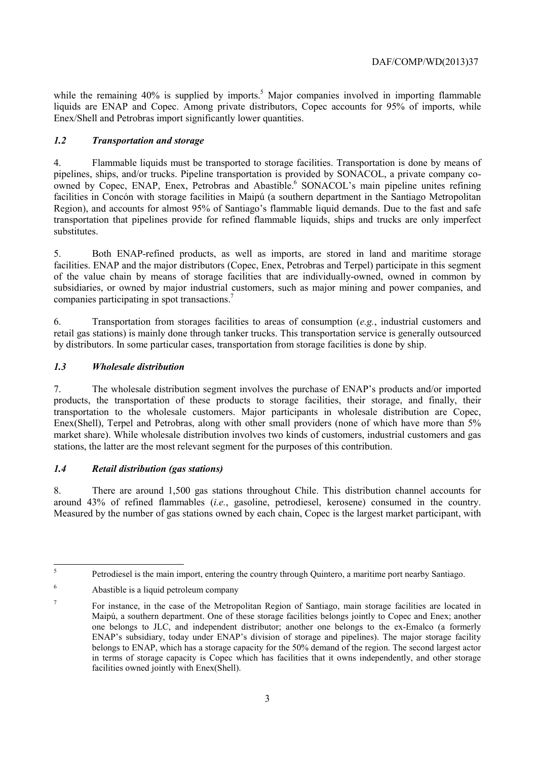while the remaining  $40\%$  is supplied by imports.<sup>5</sup> Major companies involved in importing flammable liquids are ENAP and Copec. Among private distributors, Copec accounts for 95% of imports, while Enex/Shell and Petrobras import significantly lower quantities.

# *1.2 Transportation and storage*

4. Flammable liquids must be transported to storage facilities. Transportation is done by means of pipelines, ships, and/or trucks. Pipeline transportation is provided by SONACOL, a private company coowned by Copec, ENAP, Enex, Petrobras and Abastible.<sup>6</sup> SONACOL's main pipeline unites refining facilities in Concón with storage facilities in Maipú (a southern department in the Santiago Metropolitan Region), and accounts for almost 95% of Santiago's flammable liquid demands. Due to the fast and safe transportation that pipelines provide for refined flammable liquids, ships and trucks are only imperfect substitutes.

5. Both ENAP-refined products, as well as imports, are stored in land and maritime storage facilities. ENAP and the major distributors (Copec, Enex, Petrobras and Terpel) participate in this segment of the value chain by means of storage facilities that are individually-owned, owned in common by subsidiaries, or owned by major industrial customers, such as major mining and power companies, and companies participating in spot transactions.7

6. Transportation from storages facilities to areas of consumption (*e.g.*, industrial customers and retail gas stations) is mainly done through tanker trucks. This transportation service is generally outsourced by distributors. In some particular cases, transportation from storage facilities is done by ship.

# *1.3 Wholesale distribution*

7. The wholesale distribution segment involves the purchase of ENAP's products and/or imported products, the transportation of these products to storage facilities, their storage, and finally, their transportation to the wholesale customers. Major participants in wholesale distribution are Copec, Enex(Shell), Terpel and Petrobras, along with other small providers (none of which have more than 5% market share). While wholesale distribution involves two kinds of customers, industrial customers and gas stations, the latter are the most relevant segment for the purposes of this contribution.

# *1.4 Retail distribution (gas stations)*

8. There are around 1,500 gas stations throughout Chile. This distribution channel accounts for around 43% of refined flammables (*i.e.*, gasoline, petrodiesel, kerosene) consumed in the country. Measured by the number of gas stations owned by each chain, Copec is the largest market participant, with

 $\overline{5}$ 5 Petrodiesel is the main import, entering the country through Quintero, a maritime port nearby Santiago.

<sup>6</sup> Abastible is a liquid petroleum company

<sup>7</sup> For instance, in the case of the Metropolitan Region of Santiago, main storage facilities are located in Maipú, a southern department. One of these storage facilities belongs jointly to Copec and Enex; another one belongs to JLC, and independent distributor; another one belongs to the ex-Emalco (a formerly ENAP's subsidiary, today under ENAP's division of storage and pipelines). The major storage facility belongs to ENAP, which has a storage capacity for the 50% demand of the region. The second largest actor in terms of storage capacity is Copec which has facilities that it owns independently, and other storage facilities owned jointly with Enex(Shell).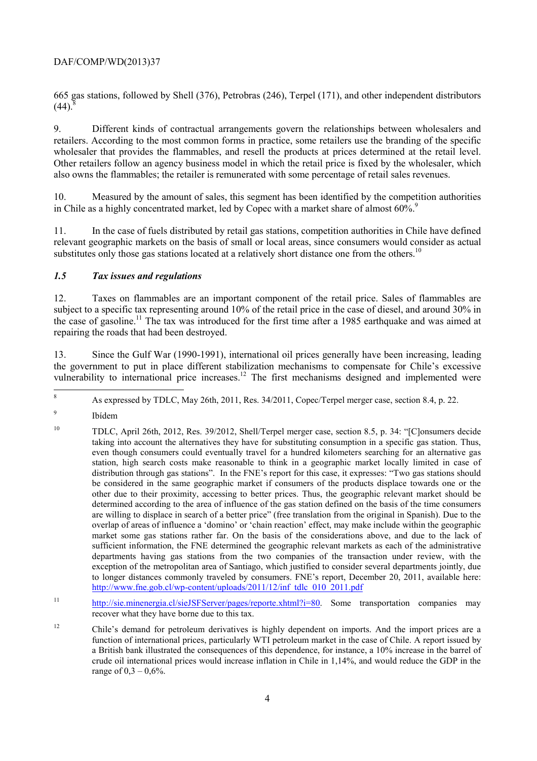665 gas stations, followed by Shell (376), Petrobras (246), Terpel (171), and other independent distributors  $(44)^{8}$ 

9. Different kinds of contractual arrangements govern the relationships between wholesalers and retailers. According to the most common forms in practice, some retailers use the branding of the specific wholesaler that provides the flammables, and resell the products at prices determined at the retail level. Other retailers follow an agency business model in which the retail price is fixed by the wholesaler, which also owns the flammables; the retailer is remunerated with some percentage of retail sales revenues.

10. Measured by the amount of sales, this segment has been identified by the competition authorities in Chile as a highly concentrated market, led by Copec with a market share of almost  $60\%$ .<sup>9</sup>

11. In the case of fuels distributed by retail gas stations, competition authorities in Chile have defined relevant geographic markets on the basis of small or local areas, since consumers would consider as actual substitutes only those gas stations located at a relatively short distance one from the others.<sup>10</sup>

#### *1.5 Tax issues and regulations*

12. Taxes on flammables are an important component of the retail price. Sales of flammables are subject to a specific tax representing around 10% of the retail price in the case of diesel, and around 30% in the case of gasoline.<sup>11</sup> The tax was introduced for the first time after a 1985 earthquake and was aimed at repairing the roads that had been destroyed.

13. Since the Gulf War (1990-1991), international oil prices generally have been increasing, leading the government to put in place different stabilization mechanisms to compensate for Chile's excessive vulnerability to international price increases.<sup>12</sup> The first mechanisms designed and implemented were

9 Ibídem

 $\hat{\mathbf{X}}$ 8 As expressed by TDLC, May 26th, 2011, Res. 34/2011, Copec/Terpel merger case, section 8.4, p. 22.

<sup>10</sup> TDLC, April 26th, 2012, Res. 39/2012, Shell/Terpel merger case, section 8.5, p. 34: "[C]onsumers decide taking into account the alternatives they have for substituting consumption in a specific gas station. Thus, even though consumers could eventually travel for a hundred kilometers searching for an alternative gas station, high search costs make reasonable to think in a geographic market locally limited in case of distribution through gas stations". In the FNE's report for this case, it expresses: "Two gas stations should be considered in the same geographic market if consumers of the products displace towards one or the other due to their proximity, accessing to better prices. Thus, the geographic relevant market should be determined according to the area of influence of the gas station defined on the basis of the time consumers are willing to displace in search of a better price" (free translation from the original in Spanish). Due to the overlap of areas of influence a 'domino' or 'chain reaction' effect, may make include within the geographic market some gas stations rather far. On the basis of the considerations above, and due to the lack of sufficient information, the FNE determined the geographic relevant markets as each of the administrative departments having gas stations from the two companies of the transaction under review, with the exception of the metropolitan area of Santiago, which justified to consider several departments jointly, due to longer distances commonly traveled by consumers. FNE's report, December 20, 2011, available here: http://www.fne.gob.cl/wp-content/uploads/2011/12/inf\_tdlc\_010\_2011.pdf

<sup>11</sup> http://sie.minenergia.cl/sieJSFServer/pages/reporte.xhtml?i=80. Some transportation companies may recover what they have borne due to this tax.

<sup>12</sup> Chile's demand for petroleum derivatives is highly dependent on imports. And the import prices are a function of international prices, particularly WTI petroleum market in the case of Chile. A report issued by a British bank illustrated the consequences of this dependence, for instance, a 10% increase in the barrel of crude oil international prices would increase inflation in Chile in 1,14%, and would reduce the GDP in the range of  $0,3 - 0,6\%$ .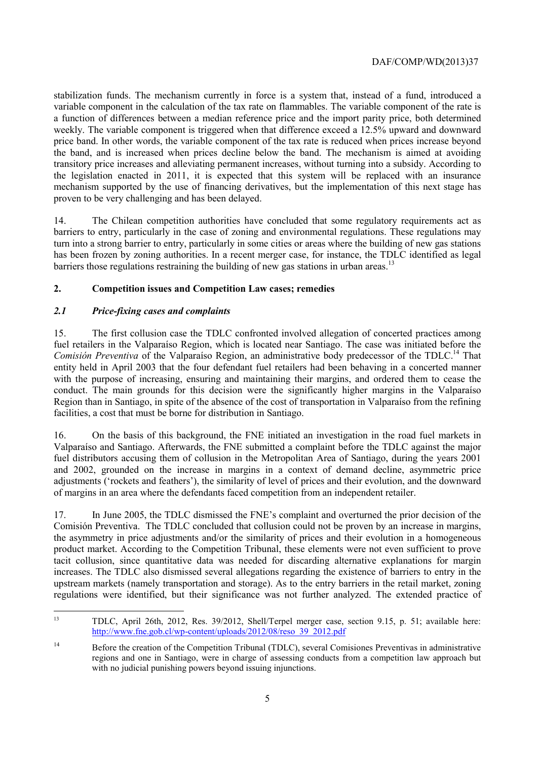stabilization funds. The mechanism currently in force is a system that, instead of a fund, introduced a variable component in the calculation of the tax rate on flammables. The variable component of the rate is a function of differences between a median reference price and the import parity price, both determined weekly. The variable component is triggered when that difference exceed a 12.5% upward and downward price band. In other words, the variable component of the tax rate is reduced when prices increase beyond the band, and is increased when prices decline below the band. The mechanism is aimed at avoiding transitory price increases and alleviating permanent increases, without turning into a subsidy. According to the legislation enacted in 2011, it is expected that this system will be replaced with an insurance mechanism supported by the use of financing derivatives, but the implementation of this next stage has proven to be very challenging and has been delayed.

14. The Chilean competition authorities have concluded that some regulatory requirements act as barriers to entry, particularly in the case of zoning and environmental regulations. These regulations may turn into a strong barrier to entry, particularly in some cities or areas where the building of new gas stations has been frozen by zoning authorities. In a recent merger case, for instance, the TDLC identified as legal barriers those regulations restraining the building of new gas stations in urban areas.<sup>13</sup>

## **2. Competition issues and Competition Law cases; remedies**

## *2.1 Price-fixing cases and complaints*

15. The first collusion case the TDLC confronted involved allegation of concerted practices among fuel retailers in the Valparaíso Region, which is located near Santiago. The case was initiated before the *Comisión Preventiva* of the Valparaíso Region, an administrative body predecessor of the TDLC.<sup>14</sup> That entity held in April 2003 that the four defendant fuel retailers had been behaving in a concerted manner with the purpose of increasing, ensuring and maintaining their margins, and ordered them to cease the conduct. The main grounds for this decision were the significantly higher margins in the Valparaíso Region than in Santiago, in spite of the absence of the cost of transportation in Valparaíso from the refining facilities, a cost that must be borne for distribution in Santiago.

16. On the basis of this background, the FNE initiated an investigation in the road fuel markets in Valparaíso and Santiago. Afterwards, the FNE submitted a complaint before the TDLC against the major fuel distributors accusing them of collusion in the Metropolitan Area of Santiago, during the years 2001 and 2002, grounded on the increase in margins in a context of demand decline, asymmetric price adjustments ('rockets and feathers'), the similarity of level of prices and their evolution, and the downward of margins in an area where the defendants faced competition from an independent retailer.

17. In June 2005, the TDLC dismissed the FNE's complaint and overturned the prior decision of the Comisión Preventiva. The TDLC concluded that collusion could not be proven by an increase in margins, the asymmetry in price adjustments and/or the similarity of prices and their evolution in a homogeneous product market. According to the Competition Tribunal, these elements were not even sufficient to prove tacit collusion, since quantitative data was needed for discarding alternative explanations for margin increases. The TDLC also dismissed several allegations regarding the existence of barriers to entry in the upstream markets (namely transportation and storage). As to the entry barriers in the retail market, zoning regulations were identified, but their significance was not further analyzed. The extended practice of

 $13$ 13 TDLC, April 26th, 2012, Res. 39/2012, Shell/Terpel merger case, section 9.15, p. 51; available here: http://www.fne.gob.cl/wp-content/uploads/2012/08/reso\_39\_2012.pdf

<sup>14</sup> Before the creation of the Competition Tribunal (TDLC), several Comisiones Preventivas in administrative regions and one in Santiago, were in charge of assessing conducts from a competition law approach but with no judicial punishing powers beyond issuing injunctions.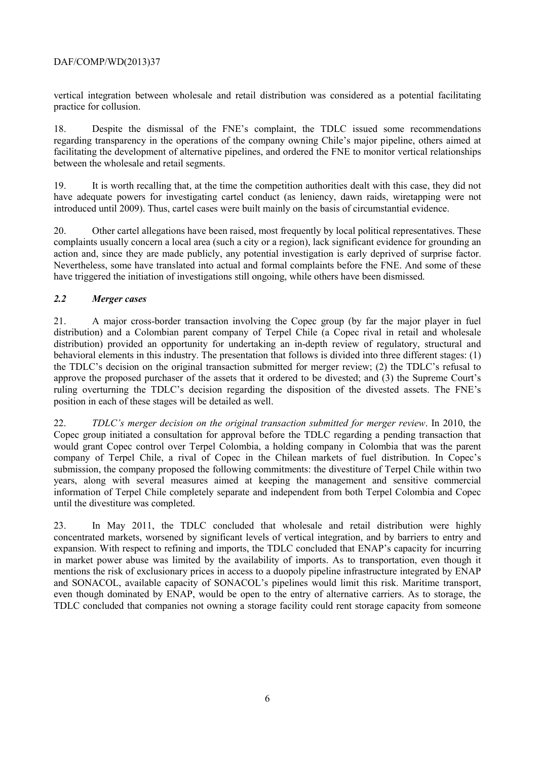vertical integration between wholesale and retail distribution was considered as a potential facilitating practice for collusion.

18. Despite the dismissal of the FNE's complaint, the TDLC issued some recommendations regarding transparency in the operations of the company owning Chile's major pipeline, others aimed at facilitating the development of alternative pipelines, and ordered the FNE to monitor vertical relationships between the wholesale and retail segments.

19. It is worth recalling that, at the time the competition authorities dealt with this case, they did not have adequate powers for investigating cartel conduct (as leniency, dawn raids, wiretapping were not introduced until 2009). Thus, cartel cases were built mainly on the basis of circumstantial evidence.

20. Other cartel allegations have been raised, most frequently by local political representatives. These complaints usually concern a local area (such a city or a region), lack significant evidence for grounding an action and, since they are made publicly, any potential investigation is early deprived of surprise factor. Nevertheless, some have translated into actual and formal complaints before the FNE. And some of these have triggered the initiation of investigations still ongoing, while others have been dismissed.

## *2.2 Merger cases*

21. A major cross-border transaction involving the Copec group (by far the major player in fuel distribution) and a Colombian parent company of Terpel Chile (a Copec rival in retail and wholesale distribution) provided an opportunity for undertaking an in-depth review of regulatory, structural and behavioral elements in this industry. The presentation that follows is divided into three different stages: (1) the TDLC's decision on the original transaction submitted for merger review; (2) the TDLC's refusal to approve the proposed purchaser of the assets that it ordered to be divested; and (3) the Supreme Court's ruling overturning the TDLC's decision regarding the disposition of the divested assets. The FNE's position in each of these stages will be detailed as well.

22. *TDLC's merger decision on the original transaction submitted for merger review*. In 2010, the Copec group initiated a consultation for approval before the TDLC regarding a pending transaction that would grant Copec control over Terpel Colombia, a holding company in Colombia that was the parent company of Terpel Chile, a rival of Copec in the Chilean markets of fuel distribution. In Copec's submission, the company proposed the following commitments: the divestiture of Terpel Chile within two years, along with several measures aimed at keeping the management and sensitive commercial information of Terpel Chile completely separate and independent from both Terpel Colombia and Copec until the divestiture was completed.

23. In May 2011, the TDLC concluded that wholesale and retail distribution were highly concentrated markets, worsened by significant levels of vertical integration, and by barriers to entry and expansion. With respect to refining and imports, the TDLC concluded that ENAP's capacity for incurring in market power abuse was limited by the availability of imports. As to transportation, even though it mentions the risk of exclusionary prices in access to a duopoly pipeline infrastructure integrated by ENAP and SONACOL, available capacity of SONACOL's pipelines would limit this risk. Maritime transport, even though dominated by ENAP, would be open to the entry of alternative carriers. As to storage, the TDLC concluded that companies not owning a storage facility could rent storage capacity from someone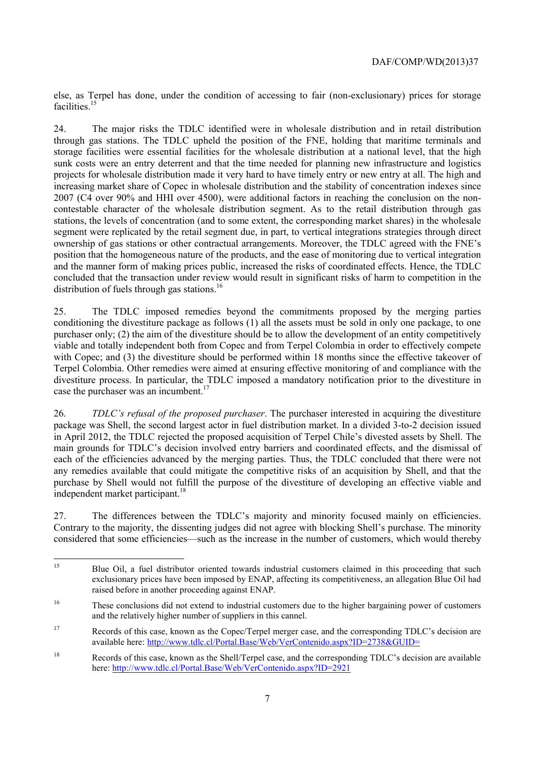else, as Terpel has done, under the condition of accessing to fair (non-exclusionary) prices for storage facilities<sup>15</sup>

24. The major risks the TDLC identified were in wholesale distribution and in retail distribution through gas stations. The TDLC upheld the position of the FNE, holding that maritime terminals and storage facilities were essential facilities for the wholesale distribution at a national level, that the high sunk costs were an entry deterrent and that the time needed for planning new infrastructure and logistics projects for wholesale distribution made it very hard to have timely entry or new entry at all. The high and increasing market share of Copec in wholesale distribution and the stability of concentration indexes since 2007 (C4 over 90% and HHI over 4500), were additional factors in reaching the conclusion on the noncontestable character of the wholesale distribution segment. As to the retail distribution through gas stations, the levels of concentration (and to some extent, the corresponding market shares) in the wholesale segment were replicated by the retail segment due, in part, to vertical integrations strategies through direct ownership of gas stations or other contractual arrangements. Moreover, the TDLC agreed with the FNE's position that the homogeneous nature of the products, and the ease of monitoring due to vertical integration and the manner form of making prices public, increased the risks of coordinated effects. Hence, the TDLC concluded that the transaction under review would result in significant risks of harm to competition in the distribution of fuels through gas stations.<sup>16</sup>

25. The TDLC imposed remedies beyond the commitments proposed by the merging parties conditioning the divestiture package as follows (1) all the assets must be sold in only one package, to one purchaser only; (2) the aim of the divestiture should be to allow the development of an entity competitively viable and totally independent both from Copec and from Terpel Colombia in order to effectively compete with Copec; and (3) the divestiture should be performed within 18 months since the effective takeover of Terpel Colombia. Other remedies were aimed at ensuring effective monitoring of and compliance with the divestiture process. In particular, the TDLC imposed a mandatory notification prior to the divestiture in case the purchaser was an incumbent. $17$ 

26. *TDLC's refusal of the proposed purchaser*. The purchaser interested in acquiring the divestiture package was Shell, the second largest actor in fuel distribution market. In a divided 3-to-2 decision issued in April 2012, the TDLC rejected the proposed acquisition of Terpel Chile's divested assets by Shell. The main grounds for TDLC's decision involved entry barriers and coordinated effects, and the dismissal of each of the efficiencies advanced by the merging parties. Thus, the TDLC concluded that there were not any remedies available that could mitigate the competitive risks of an acquisition by Shell, and that the purchase by Shell would not fulfill the purpose of the divestiture of developing an effective viable and independent market participant.<sup>18</sup>

27. The differences between the TDLC's majority and minority focused mainly on efficiencies. Contrary to the majority, the dissenting judges did not agree with blocking Shell's purchase. The minority considered that some efficiencies—such as the increase in the number of customers, which would thereby

<sup>15</sup> 15 Blue Oil, a fuel distributor oriented towards industrial customers claimed in this proceeding that such exclusionary prices have been imposed by ENAP, affecting its competitiveness, an allegation Blue Oil had raised before in another proceeding against ENAP.

<sup>&</sup>lt;sup>16</sup> These conclusions did not extend to industrial customers due to the higher bargaining power of customers and the relatively higher number of suppliers in this cannel.

<sup>17</sup> Records of this case, known as the Copec/Terpel merger case, and the corresponding TDLC's decision are available here: http://www.tdlc.cl/Portal.Base/Web/VerContenido.aspx?ID=2738&GUID=

<sup>18</sup> Records of this case, known as the Shell/Terpel case, and the corresponding TDLC's decision are available here: http://www.tdlc.cl/Portal.Base/Web/VerContenido.aspx?ID=2921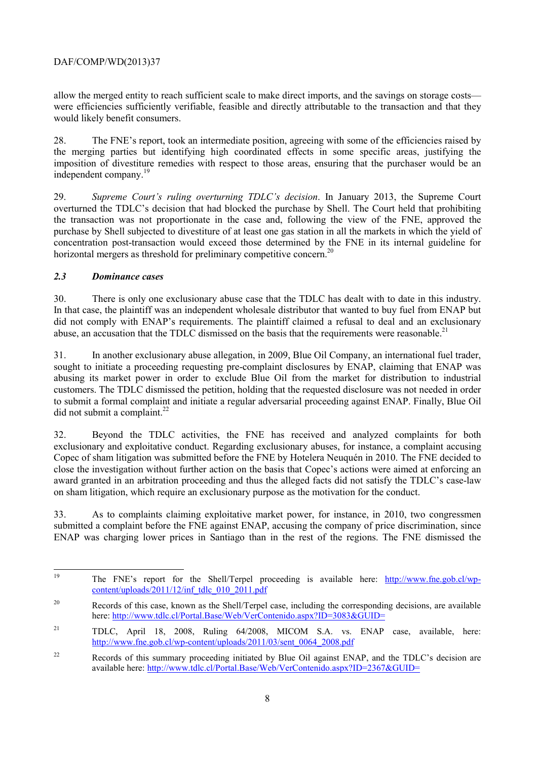allow the merged entity to reach sufficient scale to make direct imports, and the savings on storage costs were efficiencies sufficiently verifiable, feasible and directly attributable to the transaction and that they would likely benefit consumers.

28. The FNE's report, took an intermediate position, agreeing with some of the efficiencies raised by the merging parties but identifying high coordinated effects in some specific areas, justifying the imposition of divestiture remedies with respect to those areas, ensuring that the purchaser would be an independent company.<sup>19</sup>

29. *Supreme Court's ruling overturning TDLC's decision*. In January 2013, the Supreme Court overturned the TDLC's decision that had blocked the purchase by Shell. The Court held that prohibiting the transaction was not proportionate in the case and, following the view of the FNE, approved the purchase by Shell subjected to divestiture of at least one gas station in all the markets in which the yield of concentration post-transaction would exceed those determined by the FNE in its internal guideline for horizontal mergers as threshold for preliminary competitive concern.<sup>20</sup>

#### *2.3 Dominance cases*

30. There is only one exclusionary abuse case that the TDLC has dealt with to date in this industry. In that case, the plaintiff was an independent wholesale distributor that wanted to buy fuel from ENAP but did not comply with ENAP's requirements. The plaintiff claimed a refusal to deal and an exclusionary abuse, an accusation that the TDLC dismissed on the basis that the requirements were reasonable.<sup>21</sup>

31. In another exclusionary abuse allegation, in 2009, Blue Oil Company, an international fuel trader, sought to initiate a proceeding requesting pre-complaint disclosures by ENAP, claiming that ENAP was abusing its market power in order to exclude Blue Oil from the market for distribution to industrial customers. The TDLC dismissed the petition, holding that the requested disclosure was not needed in order to submit a formal complaint and initiate a regular adversarial proceeding against ENAP. Finally, Blue Oil did not submit a complaint.<sup>22</sup>

32. Beyond the TDLC activities, the FNE has received and analyzed complaints for both exclusionary and exploitative conduct. Regarding exclusionary abuses, for instance, a complaint accusing Copec of sham litigation was submitted before the FNE by Hotelera Neuquén in 2010. The FNE decided to close the investigation without further action on the basis that Copec's actions were aimed at enforcing an award granted in an arbitration proceeding and thus the alleged facts did not satisfy the TDLC's case-law on sham litigation, which require an exclusionary purpose as the motivation for the conduct.

33. As to complaints claiming exploitative market power, for instance, in 2010, two congressmen submitted a complaint before the FNE against ENAP, accusing the company of price discrimination, since ENAP was charging lower prices in Santiago than in the rest of the regions. The FNE dismissed the

<sup>19</sup> 19 The FNE's report for the Shell/Terpel proceeding is available here: http://www.fne.gob.cl/wpcontent/uploads/2011/12/inf\_tdlc\_010\_2011.pdf

<sup>&</sup>lt;sup>20</sup> Records of this case, known as the Shell/Terpel case, including the corresponding decisions, are available here: http://www.tdlc.cl/Portal.Base/Web/VerContenido.aspx?ID=3083&GUID=

<sup>21</sup> TDLC, April 18, 2008, Ruling 64/2008, MICOM S.A. vs. ENAP case, available, here: http://www.fne.gob.cl/wp-content/uploads/2011/03/sent\_0064\_2008.pdf

<sup>&</sup>lt;sup>22</sup> Records of this summary proceeding initiated by Blue Oil against ENAP, and the TDLC's decision are available here: http://www.tdlc.cl/Portal.Base/Web/VerContenido.aspx?ID=2367&GUID=